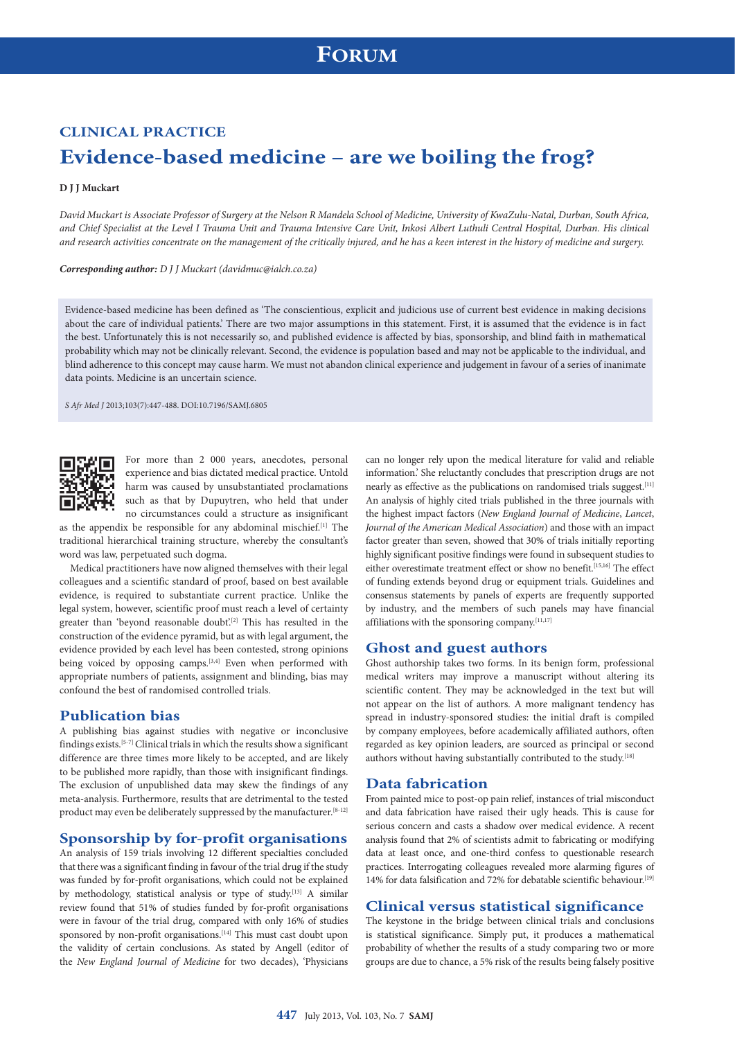# **CLINICAL PRACTICE Evidence-based medicine – are we boiling the frog?**

#### **D J J Muckart**

*David Muckart is Associate Professor of Surgery at the Nelson R Mandela School of Medicine, University of KwaZulu-Natal, Durban, South Africa, and Chief Specialist at the Level I Trauma Unit and Trauma Intensive Care Unit, Inkosi Albert Luthuli Central Hospital, Durban. His clinical and research activities concentrate on the management of the critically injured, and he has a keen interest in the history of medicine and surgery.*

*Corresponding author: D J J Muckart [\(davidmuc@ialch.co.za\)](mailto:davidmuc@ialch.co.za)*

Evidence-based medicine has been defined as 'The conscientious, explicit and judicious use of current best evidence in making decisions about the care of individual patients.' There are two major assumptions in this statement. First, it is assumed that the evidence is in fact the best. Unfortunately this is not necessarily so, and published evidence is affected by bias, sponsorship, and blind faith in mathematical probability which may not be clinically relevant. Second, the evidence is population based and may not be applicable to the individual, and blind adherence to this concept may cause harm. We must not abandon clinical experience and judgement in favour of a series of inanimate data points. Medicine is an uncertain science.

*S Afr Med J* 2013;103(7):447-488. DOI:10.7196/SAMJ.6805



For more than 2 000 years, anecdotes, personal experience and bias dictated medical practice. Untold harm was caused by unsubstantiated proclamations such as that by Dupuytren, who held that under no circumstances could a structure as insignificant

as the appendix be responsible for any abdominal mischief.<sup>[1]</sup> The traditional hierarchical training structure, whereby the consultant's word was law, perpetuated such dogma.

Medical practitioners have now aligned themselves with their legal colleagues and a scientific standard of proof, based on best available evidence, is required to substantiate current practice. Unlike the legal system, however, scientific proof must reach a level of certainty greater than 'beyond reasonable doubt'.<sup>[2]</sup> This has resulted in the construction of the evidence pyramid, but as with legal argument, the evidence provided by each level has been contested, strong opinions being voiced by opposing camps.<sup>[3,4]</sup> Even when performed with appropriate numbers of patients, assignment and blinding, bias may confound the best of randomised controlled trials.

#### **Publication bias**

A publishing bias against studies with negative or inconclusive findings exists.<sup>[5-7]</sup> Clinical trials in which the results show a significant difference are three times more likely to be accepted, and are likely to be published more rapidly, than those with insignificant findings. The exclusion of unpublished data may skew the findings of any meta-analysis. Furthermore, results that are detrimental to the tested product may even be deliberately suppressed by the manufacturer.<sup>[8-12]</sup>

## **Sponsorship by for-profit organisations**

An analysis of 159 trials involving 12 different specialties concluded that there was a significant finding in favour of the trial drug if the study was funded by for-profit organisations, which could not be explained by methodology, statistical analysis or type of study.[13] A similar review found that 51% of studies funded by for-profit organisations were in favour of the trial drug, compared with only 16% of studies sponsored by non-profit organisations.<sup>[14]</sup> This must cast doubt upon the validity of certain conclusions. As stated by Angell (editor of the *New England Journal of Medicine* for two decades), 'Physicians

can no longer rely upon the medical literature for valid and reliable information.' She reluctantly concludes that prescription drugs are not nearly as effective as the publications on randomised trials suggest.<sup>[11]</sup> An analysis of highly cited trials published in the three journals with the highest impact factors (*New England Journal of Medicine*, *Lancet*, *Journal of the American Medical Association*) and those with an impact factor greater than seven, showed that 30% of trials initially reporting highly significant positive findings were found in subsequent studies to either overestimate treatment effect or show no benefit.<sup>[15,16]</sup> The effect of funding extends beyond drug or equipment trials. Guidelines and consensus statements by panels of experts are frequently supported by industry, and the members of such panels may have financial affiliations with the sponsoring company.<sup>[11,17]</sup>

## **Ghost and guest authors**

Ghost authorship takes two forms. In its benign form, professional medical writers may improve a manuscript without altering its scientific content. They may be acknowledged in the text but will not appear on the list of authors. A more malignant tendency has spread in industry-sponsored studies: the initial draft is compiled by company employees, before academically affiliated authors, often regarded as key opinion leaders, are sourced as principal or second authors without having substantially contributed to the study.[18]

#### **Data fabrication**

From painted mice to post-op pain relief, instances of trial misconduct and data fabrication have raised their ugly heads. This is cause for serious concern and casts a shadow over medical evidence. A recent analysis found that 2% of scientists admit to fabricating or modifying data at least once, and one-third confess to questionable research practices. Interrogating colleagues revealed more alarming figures of 14% for data falsification and 72% for debatable scientific behaviour.[19]

### **Clinical versus statistical significance**

The keystone in the bridge between clinical trials and conclusions is statistical significance. Simply put, it produces a mathematical probability of whether the results of a study comparing two or more groups are due to chance, a 5% risk of the results being falsely positive